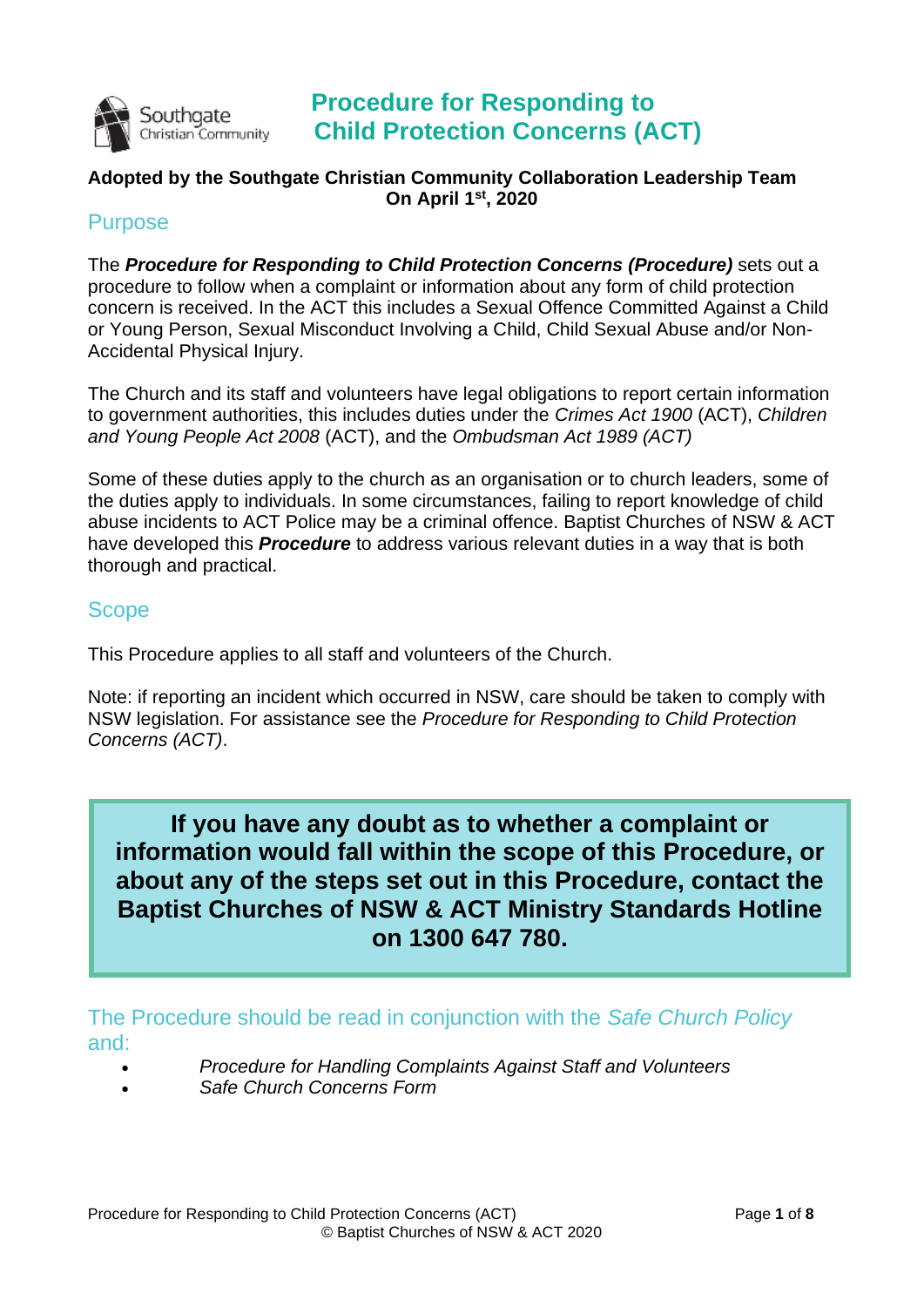

## **Procedure for Responding to Child Protection Concerns (ACT)**

### **Adopted by the Southgate Christian Community Collaboration Leadership Team On April 1st, 2020**

### **Purpose**

The *Procedure for Responding to Child Protection Concerns (Procedure)* sets out a procedure to follow when a complaint or information about any form of child protection concern is received. In the ACT this includes a Sexual Offence Committed Against a Child or Young Person, Sexual Misconduct Involving a Child, Child Sexual Abuse and/or Non-Accidental Physical Injury.

The Church and its staff and volunteers have legal obligations to report certain information to government authorities, this includes duties under the *Crimes Act 1900* (ACT), *Children and Young People Act 2008* (ACT), and the *Ombudsman Act 1989 (ACT)*

Some of these duties apply to the church as an organisation or to church leaders, some of the duties apply to individuals. In some circumstances, failing to report knowledge of child abuse incidents to ACT Police may be a criminal offence. Baptist Churches of NSW & ACT have developed this *Procedure* to address various relevant duties in a way that is both thorough and practical.

#### **Scope**

This Procedure applies to all staff and volunteers of the Church.

Note: if reporting an incident which occurred in NSW, care should be taken to comply with NSW legislation. For assistance see the *Procedure for Responding to Child Protection Concerns (ACT)*.

**If you have any doubt as to whether a complaint or information would fall within the scope of this Procedure, or about any of the steps set out in this Procedure, contact the Baptist Churches of NSW & ACT Ministry Standards Hotline on 1300 647 780.**

The Procedure should be read in conjunction with the *Safe Church Policy* and:

- *Procedure for Handling Complaints Against Staff and Volunteers*
- *Safe Church Concerns Form*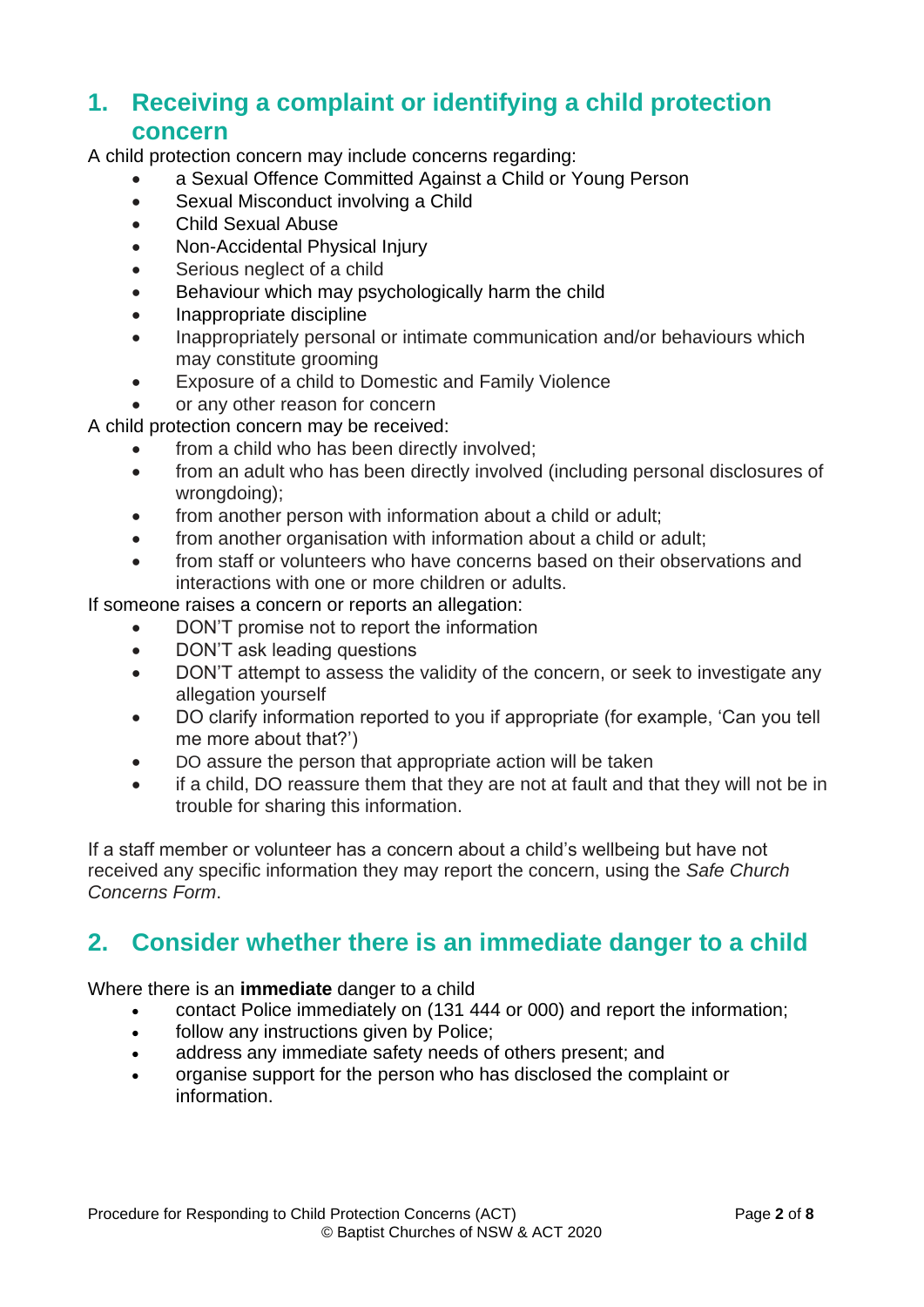## **1. Receiving a complaint or identifying a child protection concern**

A child protection concern may include concerns regarding:

- a Sexual Offence Committed Against a Child or Young Person
- Sexual Misconduct involving a Child
- Child Sexual Abuse
- Non-Accidental Physical Injury
- Serious neglect of a child
- Behaviour which may psychologically harm the child
- Inappropriate discipline
- Inappropriately personal or intimate communication and/or behaviours which may constitute grooming
- Exposure of a child to Domestic and Family Violence

• or any other reason for concern

A child protection concern may be received:

- from a child who has been directly involved;
- from an adult who has been directly involved (including personal disclosures of wrongdoing);
- from another person with information about a child or adult;
- from another organisation with information about a child or adult:
- from staff or volunteers who have concerns based on their observations and interactions with one or more children or adults.

If someone raises a concern or reports an allegation:

- DON'T promise not to report the information
- DON'T ask leading questions
- DON'T attempt to assess the validity of the concern, or seek to investigate any allegation yourself
- DO clarify information reported to you if appropriate (for example, 'Can you tell me more about that?')
- DO assure the person that appropriate action will be taken
- if a child, DO reassure them that they are not at fault and that they will not be in trouble for sharing this information.

If a staff member or volunteer has a concern about a child's wellbeing but have not received any specific information they may report the concern, using the *Safe Church Concerns Form*.

# **2. Consider whether there is an immediate danger to a child**

Where there is an **immediate** danger to a child

- contact Police immediately on (131 444 or 000) and report the information;
- follow any instructions given by Police:
- address any immediate safety needs of others present; and
- organise support for the person who has disclosed the complaint or information.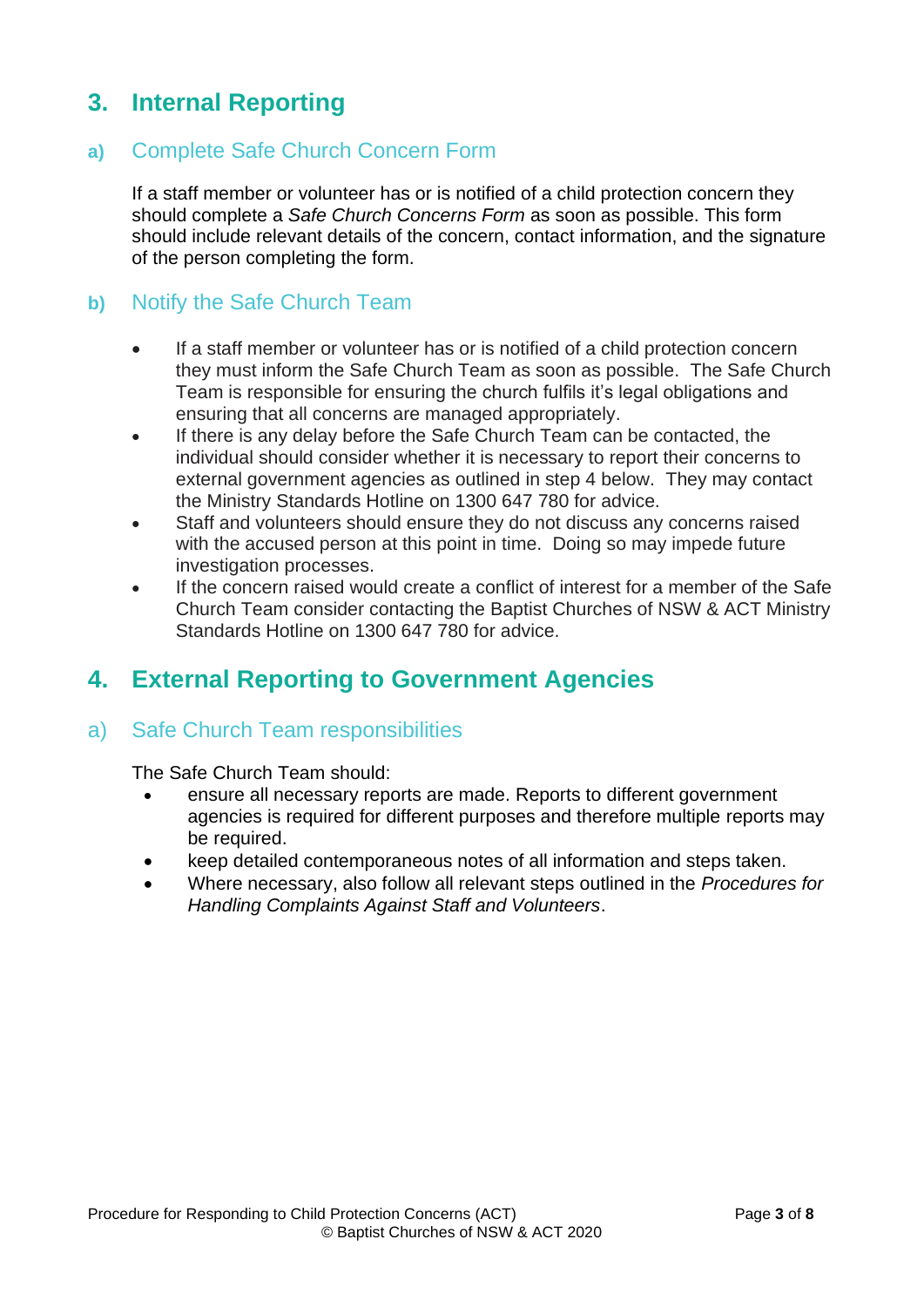# **3. Internal Reporting**

### **a)** Complete Safe Church Concern Form

If a staff member or volunteer has or is notified of a child protection concern they should complete a *Safe Church Concerns Form* as soon as possible. This form should include relevant details of the concern, contact information, and the signature of the person completing the form.

### **b)** Notify the Safe Church Team

- If a staff member or volunteer has or is notified of a child protection concern they must inform the Safe Church Team as soon as possible. The Safe Church Team is responsible for ensuring the church fulfils it's legal obligations and ensuring that all concerns are managed appropriately.
- If there is any delay before the Safe Church Team can be contacted, the individual should consider whether it is necessary to report their concerns to external government agencies as outlined in step 4 below. They may contact the Ministry Standards Hotline on 1300 647 780 for advice.
- Staff and volunteers should ensure they do not discuss any concerns raised with the accused person at this point in time. Doing so may impede future investigation processes.
- If the concern raised would create a conflict of interest for a member of the Safe Church Team consider contacting the Baptist Churches of NSW & ACT Ministry Standards Hotline on 1300 647 780 for advice.

# **4. External Reporting to Government Agencies**

## a) Safe Church Team responsibilities

The Safe Church Team should:

- ensure all necessary reports are made. Reports to different government agencies is required for different purposes and therefore multiple reports may be required.
- keep detailed contemporaneous notes of all information and steps taken.
- Where necessary, also follow all relevant steps outlined in the *Procedures for Handling Complaints Against Staff and Volunteers*.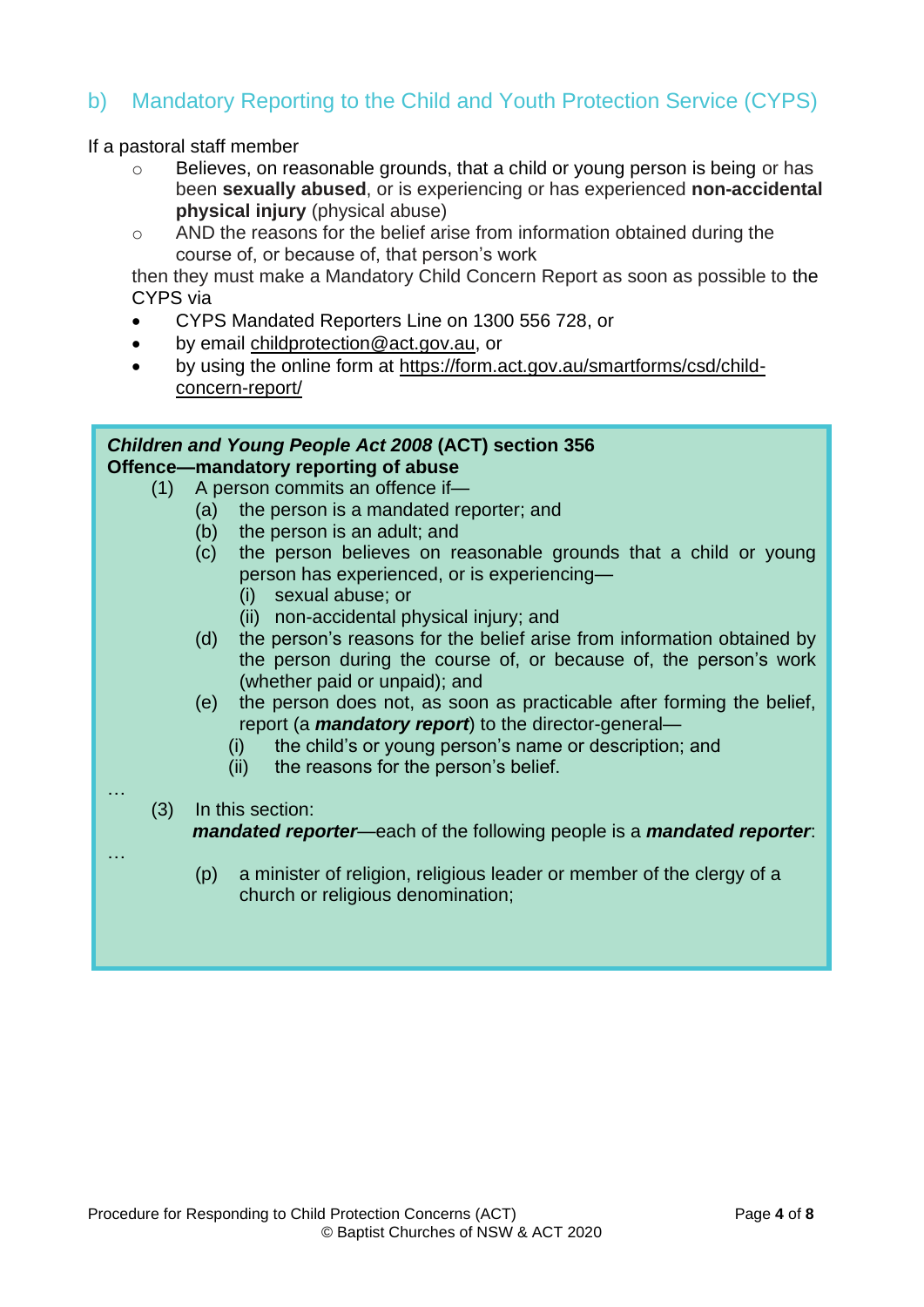## b) Mandatory Reporting to the Child and Youth Protection Service (CYPS)

If a pastoral staff member

- o Believes, on reasonable grounds, that a child or young person is being or has been **sexually abused**, or is experiencing or has experienced **non-accidental physical injury** (physical abuse)
- o AND the reasons for the belief arise from information obtained during the course of, or because of, that person's work

then they must make a Mandatory Child Concern Report as soon as possible to the CYPS via

- CYPS Mandated Reporters Line on 1300 556 728, or
- by email [childprotection@act.gov.au,](mailto:childprotection@act.gov.au) or
- by using the online form at [https://form.act.gov.au/smartforms/csd/child](https://form.act.gov.au/smartforms/csd/child-concern-report/)[concern-report/](https://form.act.gov.au/smartforms/csd/child-concern-report/)

|          | Children and Young People Act 2008 (ACT) section 356                                                                                                                                                                                                          |
|----------|---------------------------------------------------------------------------------------------------------------------------------------------------------------------------------------------------------------------------------------------------------------|
|          | Offence-mandatory reporting of abuse                                                                                                                                                                                                                          |
| (1)      | A person commits an offence if-                                                                                                                                                                                                                               |
|          | the person is a mandated reporter; and<br>(a)                                                                                                                                                                                                                 |
|          | (b) the person is an adult; and                                                                                                                                                                                                                               |
|          | the person believes on reasonable grounds that a child or young<br>(C)<br>person has experienced, or is experiencing-<br>sexual abuse; or<br>(i)                                                                                                              |
|          | (ii) non-accidental physical injury; and                                                                                                                                                                                                                      |
|          | the person's reasons for the belief arise from information obtained by<br>(d)<br>the person during the course of, or because of, the person's work<br>(whether paid or unpaid); and                                                                           |
|          | the person does not, as soon as practicable after forming the belief,<br>(e)<br>report (a <i>mandatory report</i> ) to the director-general-<br>the child's or young person's name or description; and<br>(i)<br>the reasons for the person's belief.<br>(ii) |
| .<br>(3) | In this section:                                                                                                                                                                                                                                              |
|          | mandated reporter—each of the following people is a mandated reporter.                                                                                                                                                                                        |
|          |                                                                                                                                                                                                                                                               |
|          | a minister of religion, religious leader or member of the clergy of a<br>(p)<br>church or religious denomination;                                                                                                                                             |
|          |                                                                                                                                                                                                                                                               |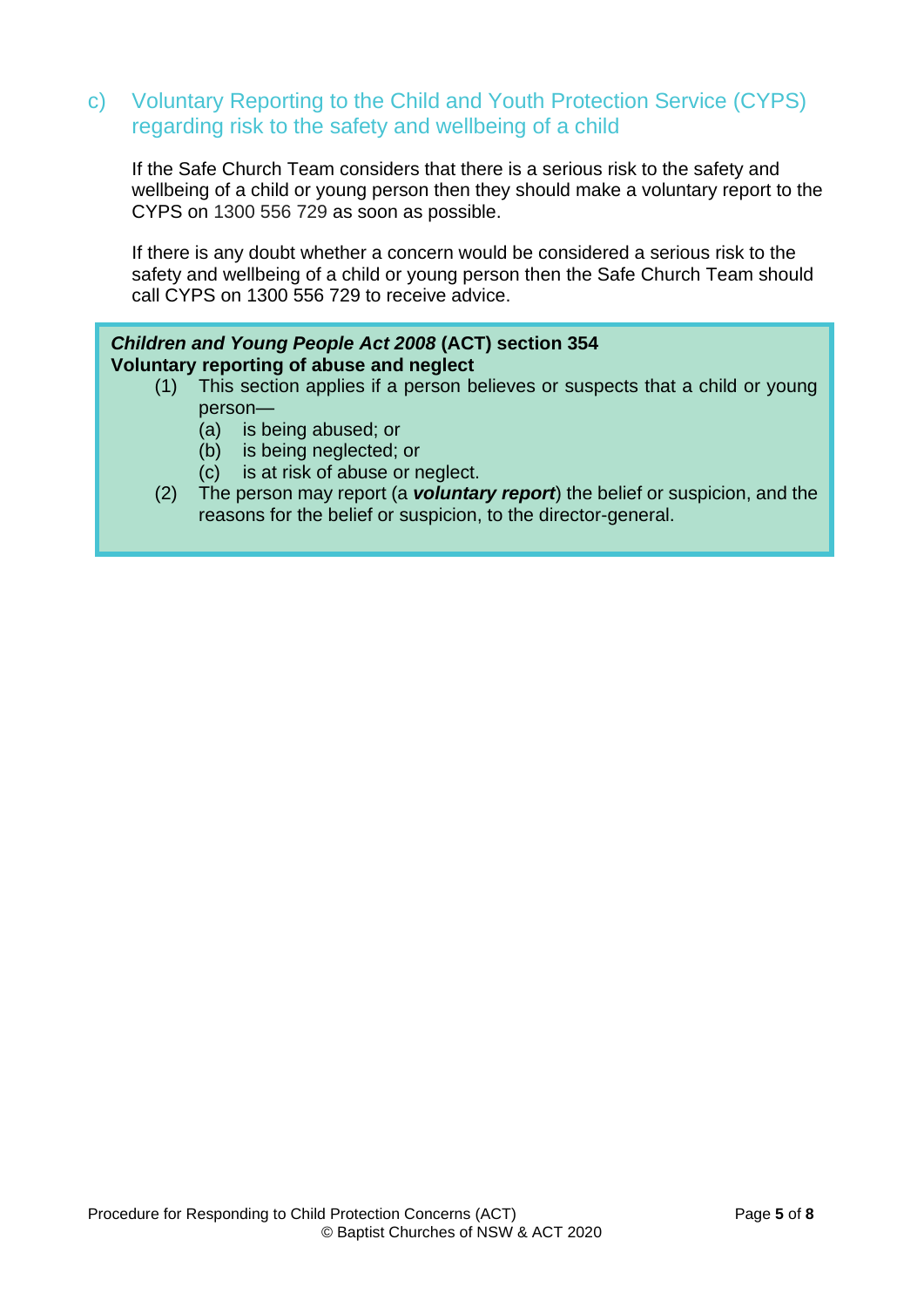### c) Voluntary Reporting to the Child and Youth Protection Service (CYPS) regarding risk to the safety and wellbeing of a child

If the Safe Church Team considers that there is a serious risk to the safety and wellbeing of a child or young person then they should make a voluntary report to the CYPS on 1300 556 729 as soon as possible.

If there is any doubt whether a concern would be considered a serious risk to the safety and wellbeing of a child or young person then the Safe Church Team should call CYPS on 1300 556 729 to receive advice.

#### *Children and Young People Act 2008* **(ACT) section 354 Voluntary reporting of abuse and neglect**

- (1) This section applies if a person believes or suspects that a child or young person—
	- (a) is being abused; or
	- (b) is being neglected; or
	- (c) is at risk of abuse or neglect.
- (2) The person may report (a *voluntary report*) the belief or suspicion, and the reasons for the belief or suspicion, to the director-general.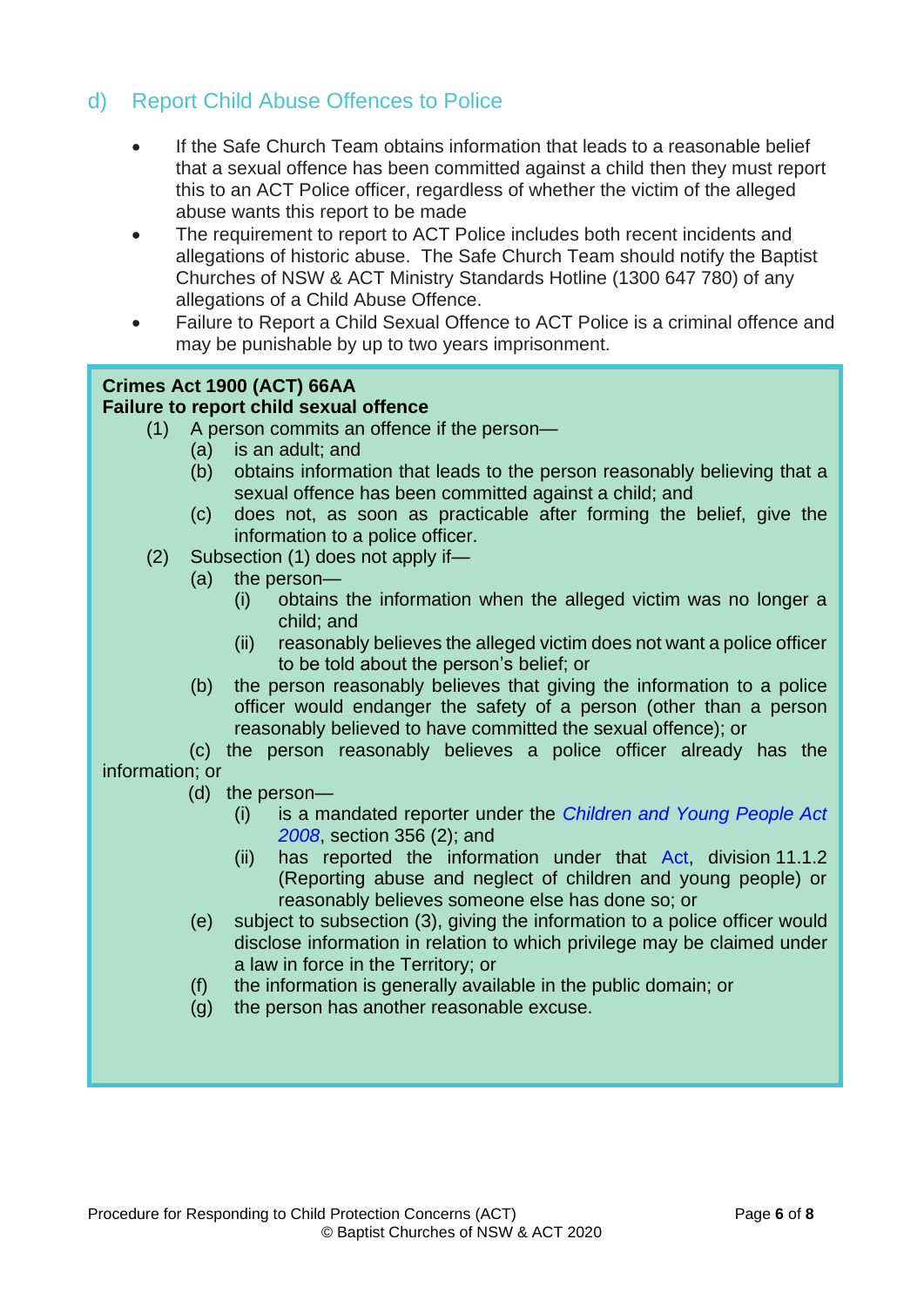## d) Report Child Abuse Offences to Police

- If the Safe Church Team obtains information that leads to a reasonable belief that a sexual offence has been committed against a child then they must report this to an ACT Police officer, regardless of whether the victim of the alleged abuse wants this report to be made
- The requirement to report to ACT Police includes both recent incidents and allegations of historic abuse. The Safe Church Team should notify the Baptist Churches of NSW & ACT Ministry Standards Hotline (1300 647 780) of any allegations of a Child Abuse Offence.
- Failure to Report a Child Sexual Offence to ACT Police is a criminal offence and may be punishable by up to two years imprisonment.

#### **Crimes Act 1900 (ACT) 66AA Failure to report child sexual offence**

- (1) A person commits an offence if the person—
	- (a) is an adult; and
		- (b) obtains information that leads to the person reasonably believing that a sexual offence has been committed against a child; and
		- (c) does not, as soon as practicable after forming the belief, give the information to a police officer.
- (2) Subsection (1) does not apply if—
	- (a) the person—
		- (i) obtains the information when the alleged victim was no longer a child; and
		- (ii) reasonably believes the alleged victim does not want a police officer to be told about the person's belief; or
	- (b) the person reasonably believes that giving the information to a police officer would endanger the safety of a person (other than a person reasonably believed to have committed the sexual offence); or

(c) the person reasonably believes a police officer already has the information; or

- (d) the person—
	- (i) is a mandated reporter under the *[Children and Young People Act](http://www.legislation.act.gov.au/a/2008-19)  [2008](http://www.legislation.act.gov.au/a/2008-19)*, section 356 (2); and
	- (ii) has reported the information under that [Act,](http://www.legislation.act.gov.au/a/2008-19) division 11.1.2 (Reporting abuse and neglect of children and young people) or reasonably believes someone else has done so; or
- (e) subject to subsection (3), giving the information to a police officer would disclose information in relation to which privilege may be claimed under a law in force in the Territory; or
- (f) the information is generally available in the public domain; or
- (g) the person has another reasonable excuse.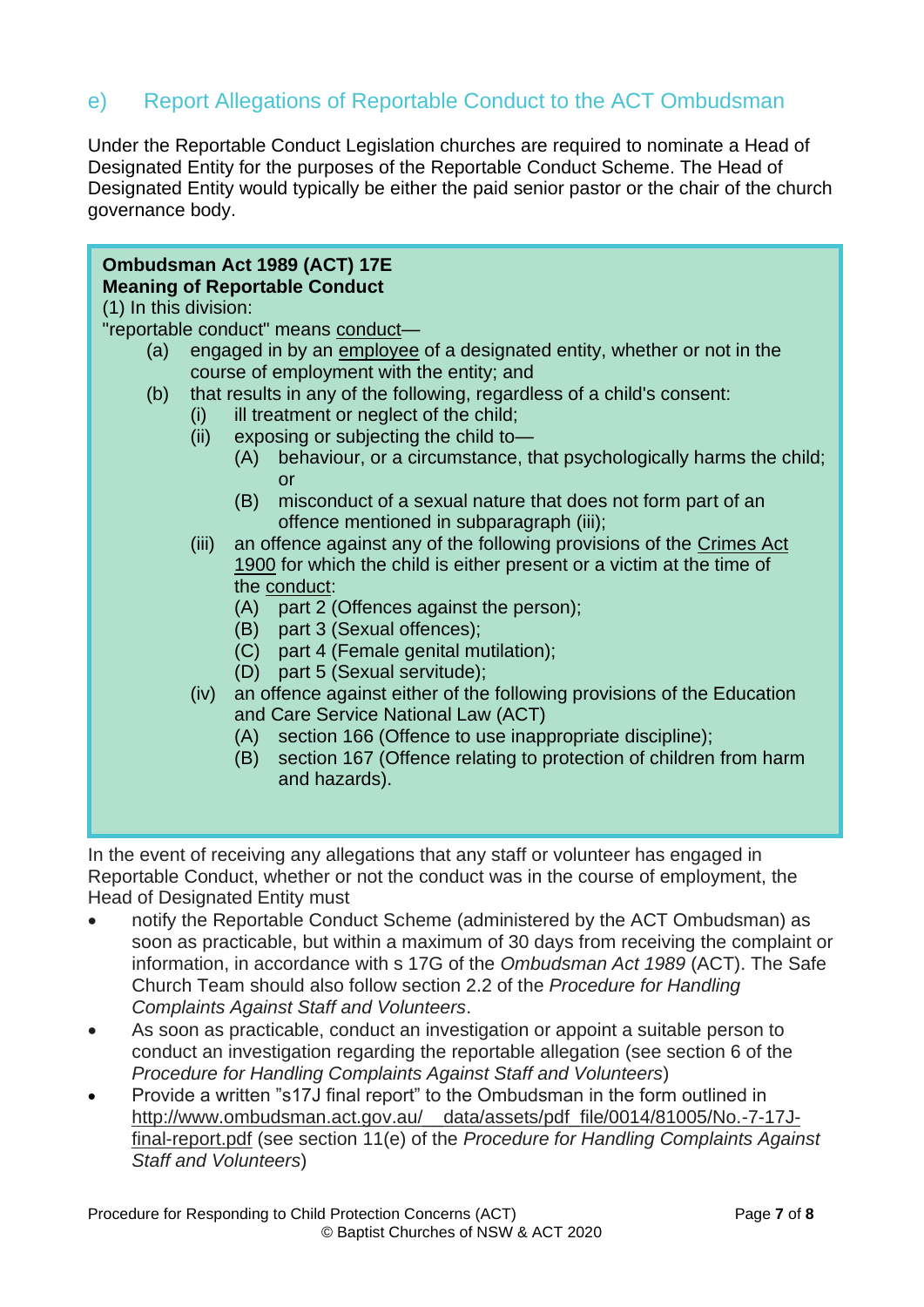## e) Report Allegations of Reportable Conduct to the ACT Ombudsman

Under the Reportable Conduct Legislation churches are required to nominate a Head of Designated Entity for the purposes of the Reportable Conduct Scheme. The Head of Designated Entity would typically be either the paid senior pastor or the chair of the church governance body.

#### **Ombudsman Act 1989 (ACT) 17E Meaning of Reportable Conduct**

(1) In this division:

"reportable conduct" means [conduct—](http://www8.austlii.edu.au/cgi-bin/viewdoc/au/legis/act/consol_act/oa1989114/s17e.html#conduct)

- (a) engaged in by an [employee](http://www8.austlii.edu.au/cgi-bin/viewdoc/au/legis/act/consol_act/oa1989114/s17eac.html#employee) of a designated entity, whether or not in the course of employment with the entity; and
- (b) that results in any of the following, regardless of a child's consent:
	- (i) ill treatment or neglect of the child;
	- (ii) exposing or subjecting the child to—
		- (A) behaviour, or a circumstance, that psychologically harms the child; or
		- (B) misconduct of a sexual nature that does not form part of an offence mentioned in subparagraph (iii);
	- (iii) an offence against any of the following provisions of the [Crimes Act](http://www8.austlii.edu.au/cgi-bin/viewdoc/au/legis/act/consol_act/ca190082/)  [1900](http://www8.austlii.edu.au/cgi-bin/viewdoc/au/legis/act/consol_act/ca190082/) for which the child is either present or a victim at the time of the [conduct:](http://www8.austlii.edu.au/cgi-bin/viewdoc/au/legis/act/consol_act/oa1989114/s17e.html#conduct)
		- (A) part 2 (Offences against the person);
		- (B) part 3 (Sexual offences);
		- (C) part 4 (Female genital mutilation);
		- (D) part 5 (Sexual servitude);
	- (iv) an offence against either of the following provisions of the Education and Care Service National Law (ACT)
		- (A) section 166 (Offence to use inappropriate discipline);
		- (B) section 167 (Offence relating to protection of children from harm and hazards).

In the event of receiving any allegations that any staff or volunteer has engaged in Reportable Conduct, whether or not the conduct was in the course of employment, the Head of Designated Entity must

- notify the Reportable Conduct Scheme (administered by the ACT Ombudsman) as soon as practicable, but within a maximum of 30 days from receiving the complaint or information, in accordance with s 17G of the *Ombudsman Act 1989* (ACT). The Safe Church Team should also follow section 2.2 of the *Procedure for Handling Complaints Against Staff and Volunteers*.
- As soon as practicable, conduct an investigation or appoint a suitable person to conduct an investigation regarding the reportable allegation (see section 6 of the *Procedure for Handling Complaints Against Staff and Volunteers*)
- Provide a written "s17J final report" to the Ombudsman in the form outlined in http://www.ombudsman.act.gov.au/ data/assets/pdf file/0014/81005/No.-7-17J[final-report.pdf](http://www.ombudsman.act.gov.au/__data/assets/pdf_file/0014/81005/No.-7-17J-final-report.pdf) (see section 11(e) of the *Procedure for Handling Complaints Against Staff and Volunteers*)